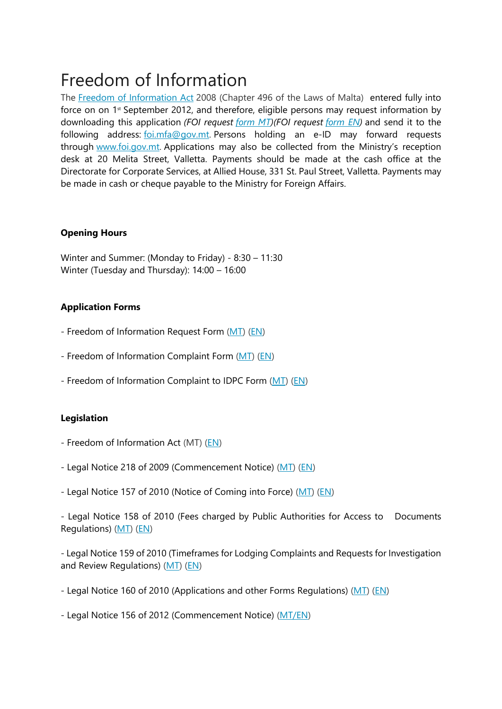# Freedom of Information

The [Freedom of Information Act](http://foreignaffairs.gov.mt/en/PDF%20Documents/FOI%20Act.pdf) 2008 (Chapter 496 of the Laws of Malta) entered fully into force on on 1<sup>st</sup> September 2012, and therefore, eligible persons may request information by downloading this application *(FOI request [form MT\)](http://foreignaffairs.gov.mt/en/PDF%20Documents/FOI%20REQUEST%20FORM%20_MT_.pdf)(FOI request [form EN\)](http://foreignaffairs.gov.mt/en/PDF%20Documents/FOI%20REQUEST%20FORM_%20EN_.pdf)* and send it to the following address: [foi.mfa@gov.mt.](mailto:foi.mfa@gov.mt) Persons holding an e-ID may forward requests through [www.foi.gov.mt.](http://www.foi.gov.mt/) Applications may also be collected from the Ministry's reception desk at 20 Melita Street, Valletta. Payments should be made at the cash office at the Directorate for Corporate Services, at Allied House, 331 St. Paul Street, Valletta. Payments may be made in cash or cheque payable to the Ministry for Foreign Affairs.

## **Opening Hours**

Winter and Summer: (Monday to Friday) - 8:30 – 11:30 Winter (Tuesday and Thursday): 14:00 – 16:00

# **Application Forms**

- Freedom of Information Request Form [\(MT\)](http://foreignaffairs.gov.mt/en/PDF%20Documents/FOI%20REQUEST%20FORM%20_MT_.pdf) [\(EN\)](http://foreignaffairs.gov.mt/en/PDF%20Documents/FOI%20REQUEST%20FORM_%20EN_.pdf)
- Freedom of Information Complaint Form [\(MT\)](http://foreignaffairs.gov.mt/en/PDF%20Documents/FOI%20COMPLAINT%20FORM_MT_.pdf) [\(EN\)](http://foreignaffairs.gov.mt/en/PDF%20Documents/FOI%20COMPLAINT%20FORM_EN_.pdf)
- Freedom of Information Complaint to IDPC Form [\(MT\)](http://foreignaffairs.gov.mt/en/PDF%20Documents/IDPC%20COMPLAINT%20FORM%20_MT_.pdf) [\(EN\)](http://foreignaffairs.gov.mt/en/PDF%20Documents/IDPC%20COMPLAINT%20FORM_EN_.pdf)

# **Legislation**

- Freedom of Information Act (MT) [\(EN\)](http://foreignaffairs.gov.mt/en/PDF%20Documents/Freedom%20of%20Information%20Act%20_EN_.pdf)
- Legal Notice 218 of 2009 (Commencement Notice) [\(MT\)](http://foreignaffairs.gov.mt/en/PDF%20Documents/Legal%20Notice%20218%20of%202009_MT_.pdf) [\(EN\)](http://foreignaffairs.gov.mt/en/PDF%20Documents/Legal%20Notice%20218%20of%202009_EN_.pdf)
- Legal Notice 157 of 2010 (Notice of Coming into Force) [\(MT\)](http://foreignaffairs.gov.mt/en/PDF%20Documents/Legal%20Notice%20157%20of%202010%20_MT_.pdf) [\(EN\)](http://foreignaffairs.gov.mt/en/PDF%20Documents/Legal%20Notice%20157%20of%202010_EN_.pdf)

- Legal Notice 158 of 2010 (Fees charged by Public Authorities for Access to Documents Regulations) [\(MT\)](http://foreignaffairs.gov.mt/en/PDF%20Documents/Legal%20Notice%20158%20of%202010_MT_.pdf) [\(EN\)](http://foreignaffairs.gov.mt/en/PDF%20Documents/Legal%20Notice%20158%20of%202010%20_EN_.pdf)

- Legal Notice 159 of 2010 (Timeframes for Lodging Complaints and Requests for Investigation and Review Regulations) [\(MT\)](http://foreignaffairs.gov.mt/en/PDF%20Documents/Legal%20Notice%20159%20of%202010_MT_.pdf) [\(EN\)](http://foreignaffairs.gov.mt/en/PDF%20Documents/Legal%20Notice%20159%20of%202010_EN_.pdf)

- Legal Notice 160 of 2010 (Applications and other Forms Regulations) [\(MT\)](http://foreignaffairs.gov.mt/en/PDF%20Documents/Legal%20Notice%20160%20of%202010_MT_.pdf) [\(EN\)](http://foreignaffairs.gov.mt/en/PDF%20Documents/Legal%20Notice%20160%20of%202010_EN_.pdf)

- Legal Notice 156 of 2012 (Commencement Notice) [\(MT/EN\)](http://foreignaffairs.gov.mt/en/PDF%20Documents/LN%20156%20of%202012.pdf)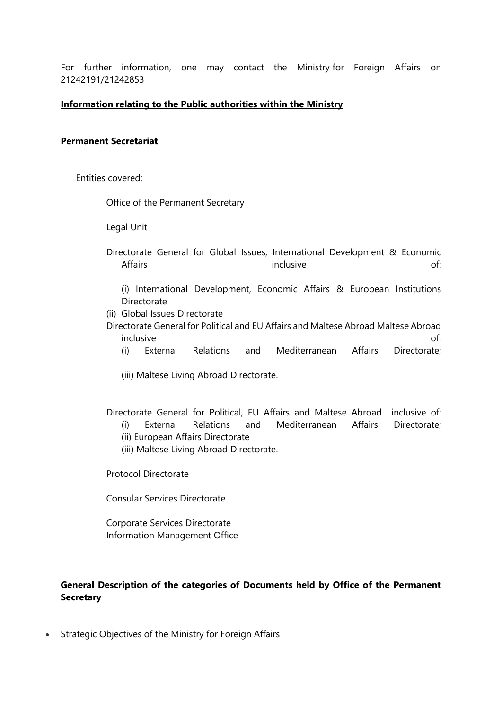For further information, one may contact the Ministry for Foreign Affairs on 21242191/21242853

#### **Information relating to the Public authorities within the Ministry**

#### **Permanent Secretariat**

Entities covered:

Office of the Permanent Secretary

Legal Unit

- Directorate General for Global Issues, International Development & Economic Affairs **inclusive inclusive inclusive of:** 
	- (i) International Development, Economic Affairs & European Institutions Directorate
- (ii) Global Issues Directorate

Directorate General for Political and EU Affairs and Maltese Abroad Maltese Abroad inclusive of:

- (i) External Relations and Mediterranean Affairs Directorate;
- (iii) Maltese Living Abroad Directorate.

Directorate General for Political, EU Affairs and Maltese Abroad inclusive of:

- (i) External Relations and Mediterranean Affairs Directorate;
- (ii) European Affairs Directorate
- (iii) Maltese Living Abroad Directorate.

Protocol Directorate

Consular Services Directorate

Corporate Services Directorate Information Management Office

## **General Description of the categories of Documents held by Office of the Permanent Secretary**

• Strategic Objectives of the Ministry for Foreign Affairs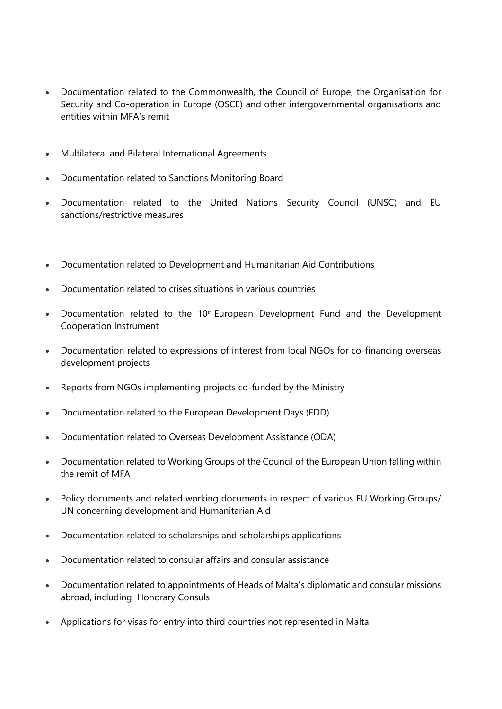- Documentation related to the Commonwealth, the Council of Europe, the Organisation for Security and Co-operation in Europe (OSCE) and other intergovernmental organisations and entities within MFA's remit
- Multilateral and Bilateral International Agreements
- Documentation related to Sanctions Monitoring Board
- Documentation related to the United Nations Security Council (UNSC) and EU sanctions/restrictive measures
- Documentation related to Development and Humanitarian Aid Contributions
- Documentation related to crises situations in various countries
- Documentation related to the 10<sup>th</sup> European Development Fund and the Development Cooperation Instrument
- Documentation related to expressions of interest from local NGOs for co-financing overseas development projects
- Reports from NGOs implementing projects co-funded by the Ministry
- Documentation related to the European Development Days (EDD)
- Documentation related to Overseas Development Assistance (ODA)
- Documentation related to Working Groups of the Council of the European Union falling within the remit of MFA
- Policy documents and related working documents in respect of various EU Working Groups/ UN concerning development and Humanitarian Aid
- Documentation related to scholarships and scholarships applications
- Documentation related to consular affairs and consular assistance
- Documentation related to appointments of Heads of Malta's diplomatic and consular missions abroad, including Honorary Consuls
- Applications for visas for entry into third countries not represented in Malta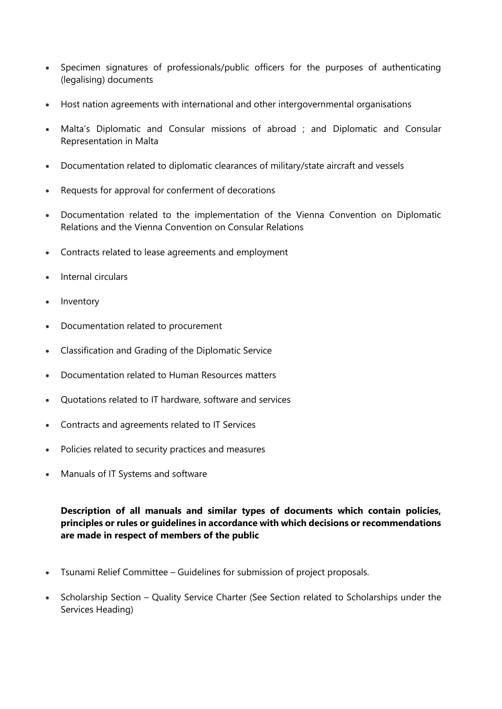- Specimen signatures of professionals/public officers for the purposes of authenticating (legalising) documents
- Host nation agreements with international and other intergovernmental organisations
- Malta's Diplomatic and Consular missions of abroad ; and Diplomatic and Consular Representation in Malta
- Documentation related to diplomatic clearances of military/state aircraft and vessels
- Requests for approval for conferment of decorations
- Documentation related to the implementation of the Vienna Convention on Diplomatic Relations and the Vienna Convention on Consular Relations
- Contracts related to lease agreements and employment
- Internal circulars
- Inventory
- Documentation related to procurement
- Classification and Grading of the Diplomatic Service
- Documentation related to Human Resources matters
- Quotations related to IT hardware, software and services
- Contracts and agreements related to IT Services
- Policies related to security practices and measures
- Manuals of IT Systems and software

**Description of all manuals and similar types of documents which contain policies, principles or rules or guidelines in accordance with which decisions or recommendations are made in respect of members of the public**

- Tsunami Relief Committee Guidelines for submission of project proposals.
- Scholarship Section Quality Service Charter (See Section related to Scholarships under the Services Heading)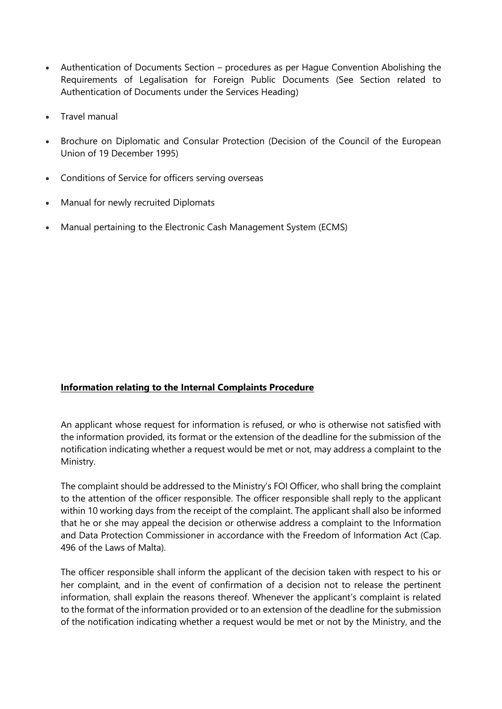- Authentication of Documents Section procedures as per Hague Convention Abolishing the Requirements of Legalisation for Foreign Public Documents (See Section related to Authentication of Documents under the Services Heading)
- Travel manual
- Brochure on Diplomatic and Consular Protection (Decision of the Council of the European Union of 19 December 1995)
- Conditions of Service for officers serving overseas
- Manual for newly recruited Diplomats
- Manual pertaining to the Electronic Cash Management System (ECMS)

# **Information relating to the Internal Complaints Procedure**

An applicant whose request for information is refused, or who is otherwise not satisfied with the information provided, its format or the extension of the deadline for the submission of the notification indicating whether a request would be met or not, may address a complaint to the Ministry.

The complaint should be addressed to the Ministry's FOI Officer, who shall bring the complaint to the attention of the officer responsible. The officer responsible shall reply to the applicant within 10 working days from the receipt of the complaint. The applicant shall also be informed that he or she may appeal the decision or otherwise address a complaint to the Information and Data Protection Commissioner in accordance with the Freedom of Information Act (Cap. 496 of the Laws of Malta).

The officer responsible shall inform the applicant of the decision taken with respect to his or her complaint, and in the event of confirmation of a decision not to release the pertinent information, shall explain the reasons thereof. Whenever the applicant's complaint is related to the format of the information provided or to an extension of the deadline for the submission of the notification indicating whether a request would be met or not by the Ministry, and the